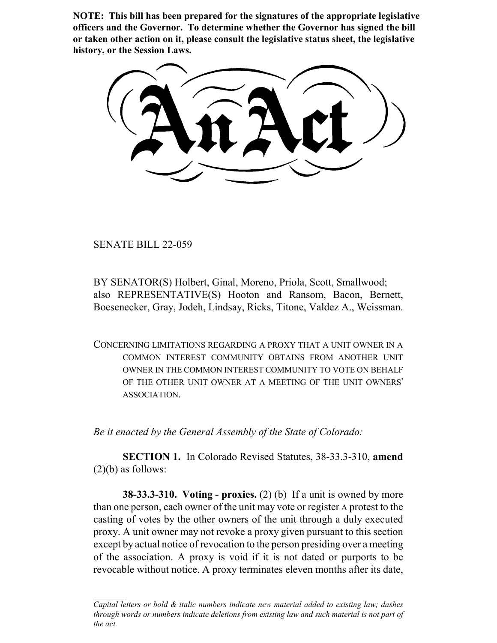**NOTE: This bill has been prepared for the signatures of the appropriate legislative officers and the Governor. To determine whether the Governor has signed the bill or taken other action on it, please consult the legislative status sheet, the legislative history, or the Session Laws.**

SENATE BILL 22-059

BY SENATOR(S) Holbert, Ginal, Moreno, Priola, Scott, Smallwood; also REPRESENTATIVE(S) Hooton and Ransom, Bacon, Bernett, Boesenecker, Gray, Jodeh, Lindsay, Ricks, Titone, Valdez A., Weissman.

CONCERNING LIMITATIONS REGARDING A PROXY THAT A UNIT OWNER IN A COMMON INTEREST COMMUNITY OBTAINS FROM ANOTHER UNIT OWNER IN THE COMMON INTEREST COMMUNITY TO VOTE ON BEHALF OF THE OTHER UNIT OWNER AT A MEETING OF THE UNIT OWNERS' ASSOCIATION.

*Be it enacted by the General Assembly of the State of Colorado:*

**SECTION 1.** In Colorado Revised Statutes, 38-33.3-310, **amend**  $(2)(b)$  as follows:

**38-33.3-310. Voting - proxies.** (2) (b) If a unit is owned by more than one person, each owner of the unit may vote or register A protest to the casting of votes by the other owners of the unit through a duly executed proxy. A unit owner may not revoke a proxy given pursuant to this section except by actual notice of revocation to the person presiding over a meeting of the association. A proxy is void if it is not dated or purports to be revocable without notice. A proxy terminates eleven months after its date,

*Capital letters or bold & italic numbers indicate new material added to existing law; dashes through words or numbers indicate deletions from existing law and such material is not part of the act.*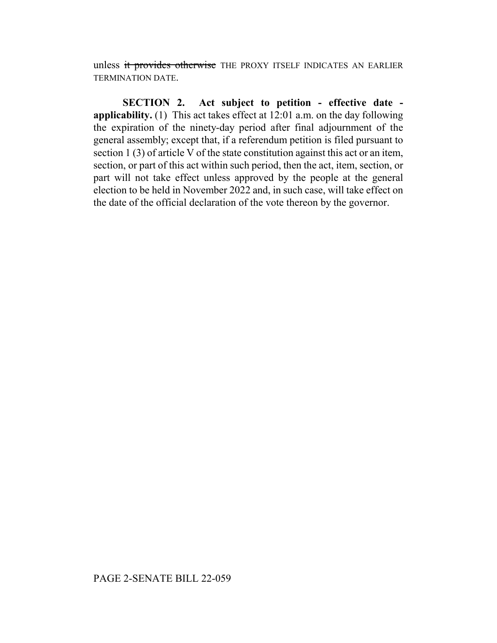unless it provides otherwise THE PROXY ITSELF INDICATES AN EARLIER TERMINATION DATE.

**SECTION 2. Act subject to petition - effective date applicability.** (1) This act takes effect at 12:01 a.m. on the day following the expiration of the ninety-day period after final adjournment of the general assembly; except that, if a referendum petition is filed pursuant to section 1 (3) of article V of the state constitution against this act or an item, section, or part of this act within such period, then the act, item, section, or part will not take effect unless approved by the people at the general election to be held in November 2022 and, in such case, will take effect on the date of the official declaration of the vote thereon by the governor.